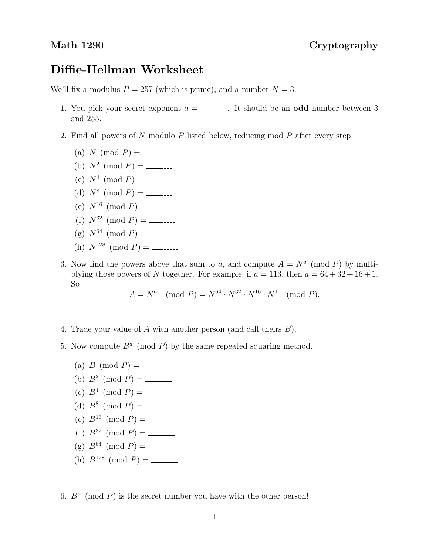## Diffie-Hellman Worksheet

We'll fix a modulus  $P = 257$  (which is prime), and a number  $N = 3$ .

- 1. You pick your secret exponent  $a =$  \_\_\_\_\_\_\_. It should be an **odd** number between 3 and 255.
- 2. Find all powers of N modulo P listed below, reducing mod P after every step:
	- (a) N (mod P) =
	- (b)  $N^2 \pmod{P}$  =
	- (c)  $N^4 \pmod{P}$  =
	- (d)  $N^8 \pmod{P}$  =
	- (e) N<sup>16</sup> (mod P) =
	- (f) N<sup>32</sup> (mod P) =
	- (g) N<sup>64</sup> (mod P) =
	- (h) N<sup>128</sup> (mod P) =
- 3. Now find the powers above that sum to a, and compute  $A = N<sup>a</sup> \pmod{P}$  by multiplying those powers of N together. For example, if  $a = 113$ , then  $a = 64 + 32 + 16 + 1$ . So

$$
A = N^a \pmod{P} = N^{64} \cdot N^{32} \cdot N^{16} \cdot N^1 \pmod{P}.
$$

- 4. Trade your value of A with another person (and call theirs B).
- 5. Now compute  $B^a$  (mod P) by the same repeated squaring method.
	- (a) B (mod P) =
	- (b)  $B^2 \pmod{P}$  =
	- (c)  $B^4 \pmod{P}$  =
	- (d)  $B^8 \pmod{P}$  =
	- (e) B<sup>16</sup> (mod P) =
	- (f) B<sup>32</sup> (mod P) =
	- (g) B<sup>64</sup> (mod P) =
	- (h) B<sup>128</sup> (mod P) =
- 6.  $B^a$  (mod P) is the secret number you have with the other person!